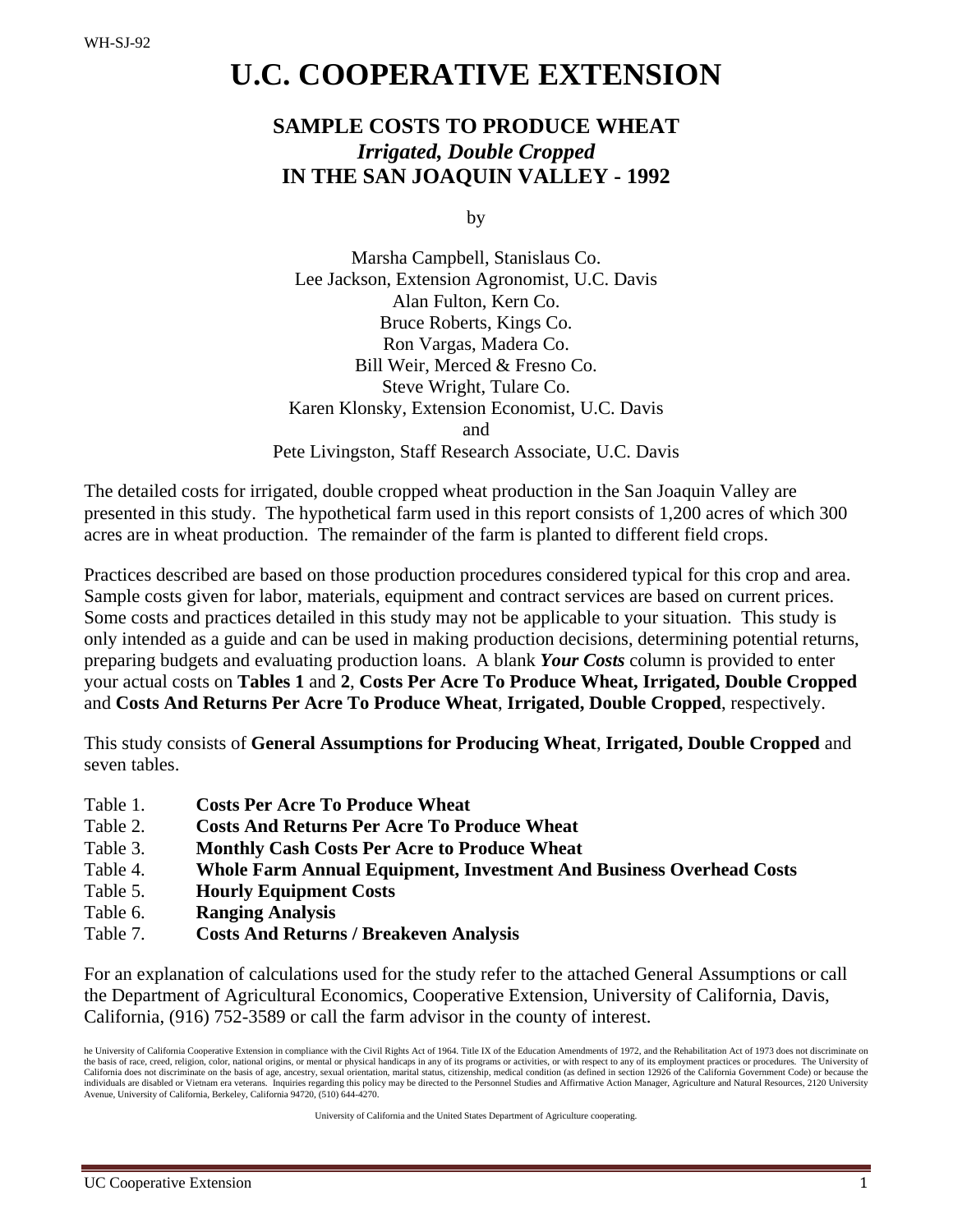# **U.C. COOPERATIVE EXTENSION**

# **SAMPLE COSTS TO PRODUCE WHEAT** *Irrigated, Double Cropped* **IN THE SAN JOAQUIN VALLEY - 1992**

by

Marsha Campbell, Stanislaus Co. Lee Jackson, Extension Agronomist, U.C. Davis Alan Fulton, Kern Co. Bruce Roberts, Kings Co. Ron Vargas, Madera Co. Bill Weir, Merced & Fresno Co. Steve Wright, Tulare Co. Karen Klonsky, Extension Economist, U.C. Davis and Pete Livingston, Staff Research Associate, U.C. Davis

The detailed costs for irrigated, double cropped wheat production in the San Joaquin Valley are presented in this study. The hypothetical farm used in this report consists of 1,200 acres of which 300 acres are in wheat production. The remainder of the farm is planted to different field crops.

Practices described are based on those production procedures considered typical for this crop and area. Sample costs given for labor, materials, equipment and contract services are based on current prices. Some costs and practices detailed in this study may not be applicable to your situation. This study is only intended as a guide and can be used in making production decisions, determining potential returns, preparing budgets and evaluating production loans. A blank *Your Costs* column is provided to enter your actual costs on **Tables 1** and **2**, **Costs Per Acre To Produce Wheat, Irrigated, Double Cropped**  and **Costs And Returns Per Acre To Produce Wheat**, **Irrigated, Double Cropped**, respectively.

This study consists of **General Assumptions for Producing Wheat**, **Irrigated, Double Cropped** and seven tables.

- Table 1. **Costs Per Acre To Produce Wheat**
- Table 2. **Costs And Returns Per Acre To Produce Wheat**
- Table 3. **Monthly Cash Costs Per Acre to Produce Wheat**
- Table 4. **Whole Farm Annual Equipment, Investment And Business Overhead Costs**
- Table 5. **Hourly Equipment Costs**
- Table 6. **Ranging Analysis**
- Table 7. **Costs And Returns / Breakeven Analysis**

For an explanation of calculations used for the study refer to the attached General Assumptions or call the Department of Agricultural Economics, Cooperative Extension, University of California, Davis, California, (916) 752-3589 or call the farm advisor in the county of interest.

University of California and the United States Department of Agriculture cooperating.

he University of California Cooperative Extension in compliance with the Civil Rights Act of 1964. Title IX of the Education Amendments of 1972, and the Rehabilitation Act of 1973 does not discriminate on the basis of race, creed, religion, color, national origins, or mental or physical handicaps in any of its programs or activities, or with respect to any of its employment practices or procedures. The University of<br>Califor individuals are disabled or Vietnam era veterans. Inquiries regarding this policy may be directed to the Personnel Studies and Affirmative Action Manager, Agriculture and Natural Resources, 2120 University Avenue, University of California, Berkeley, California 94720, (510) 644-4270.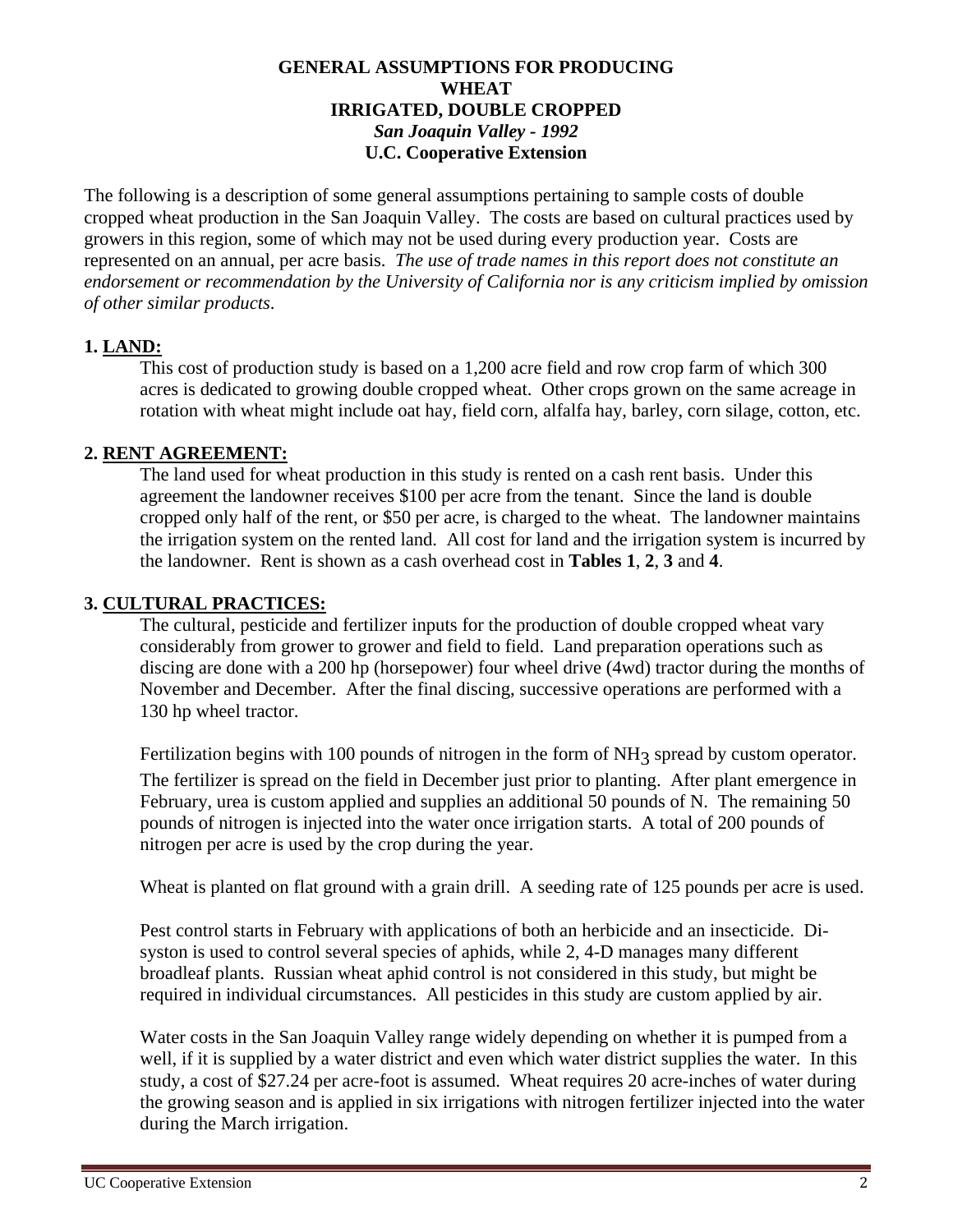### **GENERAL ASSUMPTIONS FOR PRODUCING WHEAT IRRIGATED, DOUBLE CROPPED** *San Joaquin Valley - 1992* **U.C. Cooperative Extension**

The following is a description of some general assumptions pertaining to sample costs of double cropped wheat production in the San Joaquin Valley. The costs are based on cultural practices used by growers in this region, some of which may not be used during every production year.Costs are represented on an annual, per acre basis. *The use of trade names in this report does not constitute an endorsement or recommendation by the University of California nor is any criticism implied by omission of other similar products*.

## **1. LAND:**

This cost of production study is based on a 1,200 acre field and row crop farm of which 300 acres is dedicated to growing double cropped wheat. Other crops grown on the same acreage in rotation with wheat might include oat hay, field corn, alfalfa hay, barley, corn silage, cotton, etc.

### **2. RENT AGREEMENT:**

The land used for wheat production in this study is rented on a cash rent basis. Under this agreement the landowner receives \$100 per acre from the tenant. Since the land is double cropped only half of the rent, or \$50 per acre, is charged to the wheat. The landowner maintains the irrigation system on the rented land. All cost for land and the irrigation system is incurred by the landowner. Rent is shown as a cash overhead cost in **Tables 1**, **2**, **3** and **4**.

### **3. CULTURAL PRACTICES:**

The cultural, pesticide and fertilizer inputs for the production of double cropped wheat vary considerably from grower to grower and field to field. Land preparation operations such as discing are done with a 200 hp (horsepower) four wheel drive (4wd) tractor during the months of November and December. After the final discing, successive operations are performed with a 130 hp wheel tractor.

Fertilization begins with 100 pounds of nitrogen in the form of NH<sub>3</sub> spread by custom operator.

The fertilizer is spread on the field in December just prior to planting. After plant emergence in February, urea is custom applied and supplies an additional 50 pounds of N. The remaining 50 pounds of nitrogen is injected into the water once irrigation starts. A total of 200 pounds of nitrogen per acre is used by the crop during the year.

Wheat is planted on flat ground with a grain drill. A seeding rate of 125 pounds per acre is used.

Pest control starts in February with applications of both an herbicide and an insecticide. Disyston is used to control several species of aphids, while 2, 4-D manages many different broadleaf plants. Russian wheat aphid control is not considered in this study, but might be required in individual circumstances. All pesticides in this study are custom applied by air.

Water costs in the San Joaquin Valley range widely depending on whether it is pumped from a well, if it is supplied by a water district and even which water district supplies the water. In this study, a cost of \$27.24 per acre-foot is assumed. Wheat requires 20 acre-inches of water during the growing season and is applied in six irrigations with nitrogen fertilizer injected into the water during the March irrigation.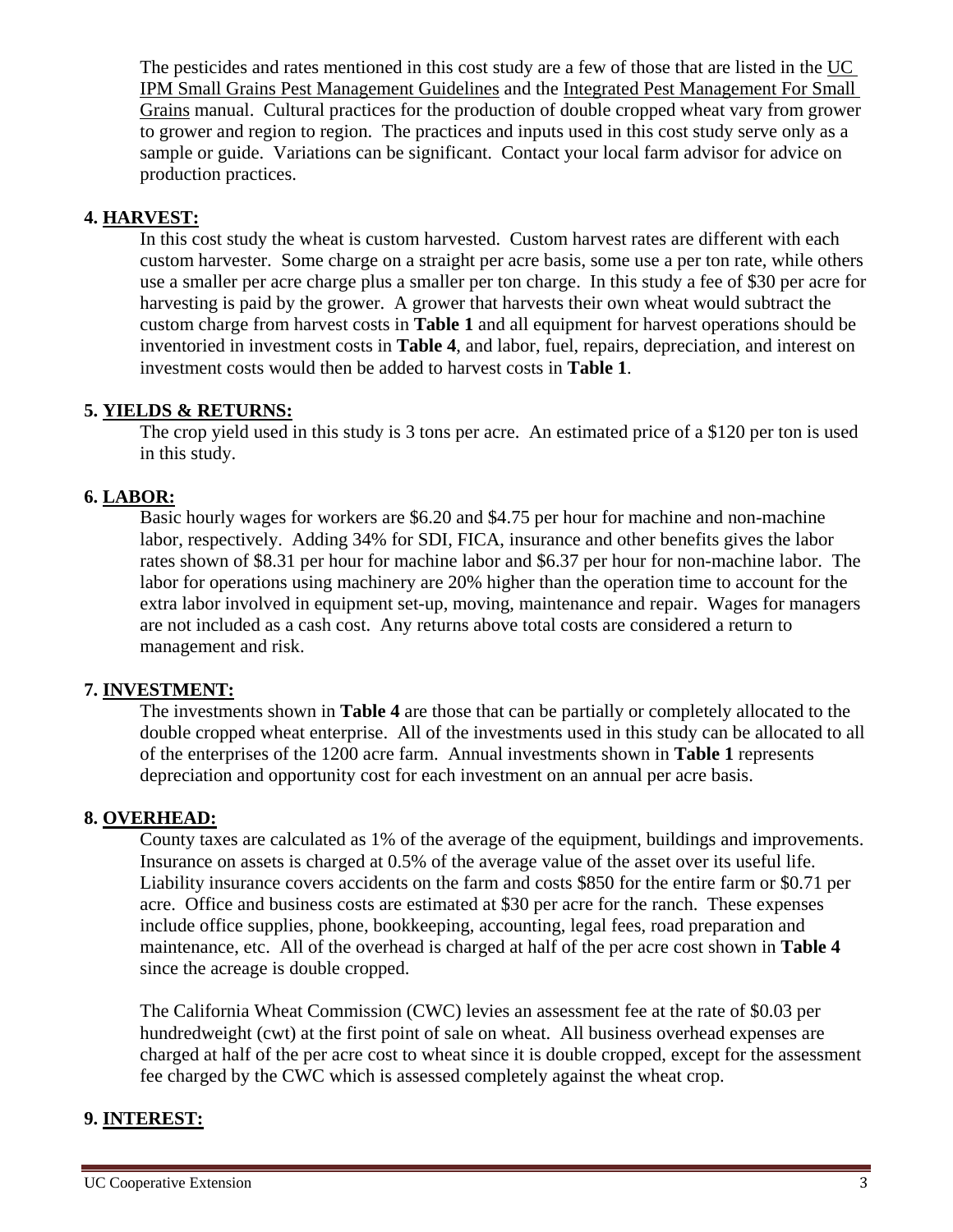The pesticides and rates mentioned in this cost study are a few of those that are listed in the UC IPM Small Grains Pest Management Guidelines and the Integrated Pest Management For Small Grains manual. Cultural practices for the production of double cropped wheat vary from grower to grower and region to region. The practices and inputs used in this cost study serve only as a sample or guide. Variations can be significant. Contact your local farm advisor for advice on production practices.

# **4. HARVEST:**

In this cost study the wheat is custom harvested. Custom harvest rates are different with each custom harvester. Some charge on a straight per acre basis, some use a per ton rate, while others use a smaller per acre charge plus a smaller per ton charge. In this study a fee of \$30 per acre for harvesting is paid by the grower. A grower that harvests their own wheat would subtract the custom charge from harvest costs in **Table 1** and all equipment for harvest operations should be inventoried in investment costs in **Table 4**, and labor, fuel, repairs, depreciation, and interest on investment costs would then be added to harvest costs in **Table 1**.

## **5. YIELDS & RETURNS:**

The crop yield used in this study is 3 tons per acre. An estimated price of a \$120 per ton is used in this study.

## **6. LABOR:**

Basic hourly wages for workers are \$6.20 and \$4.75 per hour for machine and non-machine labor, respectively. Adding 34% for SDI, FICA, insurance and other benefits gives the labor rates shown of \$8.31 per hour for machine labor and \$6.37 per hour for non-machine labor. The labor for operations using machinery are 20% higher than the operation time to account for the extra labor involved in equipment set-up, moving, maintenance and repair. Wages for managers are not included as a cash cost. Any returns above total costs are considered a return to management and risk.

### **7. INVESTMENT:**

The investments shown in **Table 4** are those that can be partially or completely allocated to the double cropped wheat enterprise. All of the investments used in this study can be allocated to all of the enterprises of the 1200 acre farm. Annual investments shown in **Table 1** represents depreciation and opportunity cost for each investment on an annual per acre basis.

### **8. OVERHEAD:**

County taxes are calculated as 1% of the average of the equipment, buildings and improvements. Insurance on assets is charged at 0.5% of the average value of the asset over its useful life. Liability insurance covers accidents on the farm and costs \$850 for the entire farm or \$0.71 per acre. Office and business costs are estimated at \$30 per acre for the ranch. These expenses include office supplies, phone, bookkeeping, accounting, legal fees, road preparation and maintenance, etc. All of the overhead is charged at half of the per acre cost shown in **Table 4** since the acreage is double cropped.

The California Wheat Commission (CWC) levies an assessment fee at the rate of \$0.03 per hundredweight (cwt) at the first point of sale on wheat. All business overhead expenses are charged at half of the per acre cost to wheat since it is double cropped, except for the assessment fee charged by the CWC which is assessed completely against the wheat crop.

### **9. INTEREST:**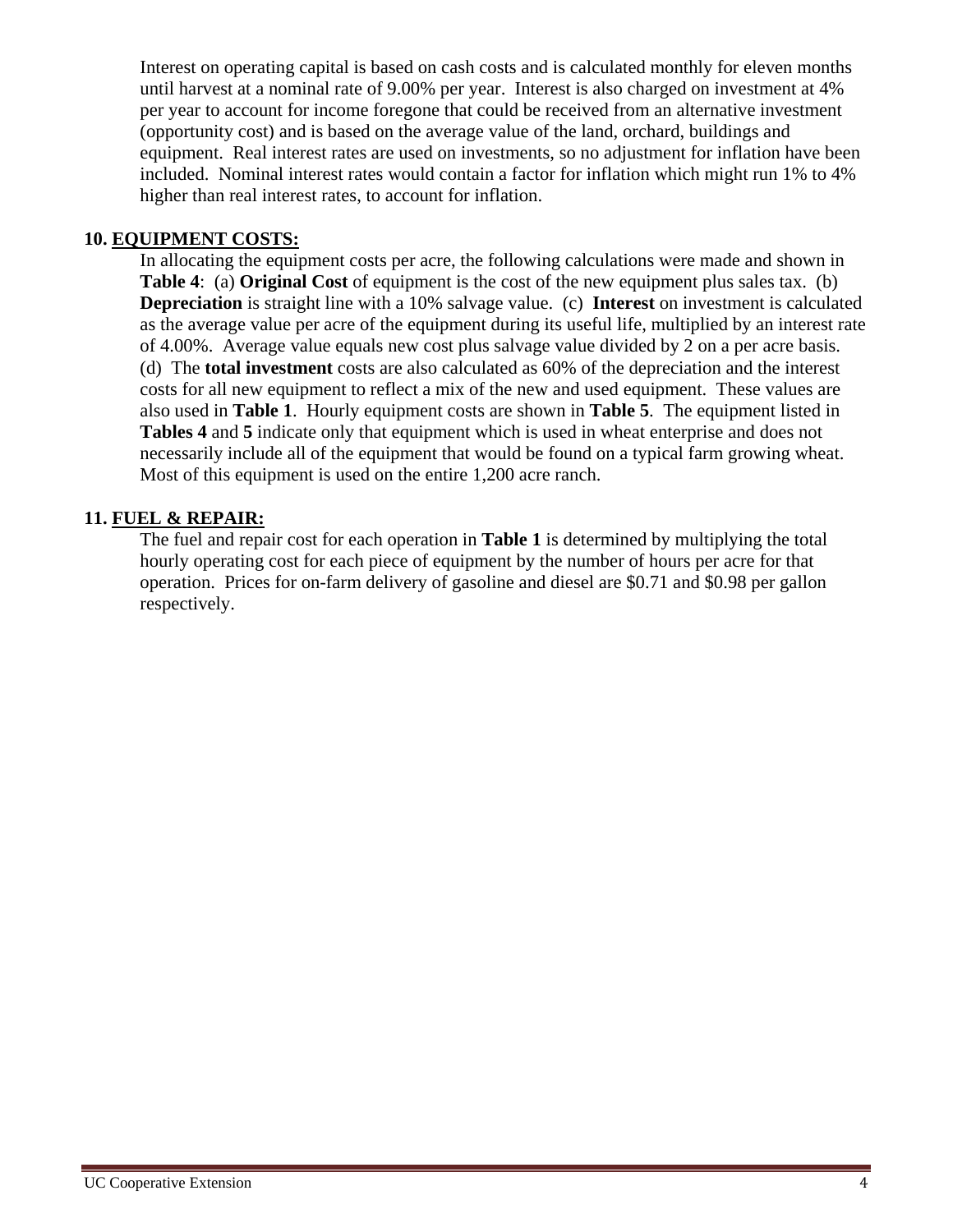Interest on operating capital is based on cash costs and is calculated monthly for eleven months until harvest at a nominal rate of 9.00% per year. Interest is also charged on investment at 4% per year to account for income foregone that could be received from an alternative investment (opportunity cost) and is based on the average value of the land, orchard, buildings and equipment. Real interest rates are used on investments, so no adjustment for inflation have been included. Nominal interest rates would contain a factor for inflation which might run 1% to 4% higher than real interest rates, to account for inflation.

### **10. EQUIPMENT COSTS:**

In allocating the equipment costs per acre, the following calculations were made and shown in **Table 4**: (a) **Original Cost** of equipment is the cost of the new equipment plus sales tax. (b) **Depreciation** is straight line with a 10% salvage value. (c) **Interest** on investment is calculated as the average value per acre of the equipment during its useful life, multiplied by an interest rate of 4.00%. Average value equals new cost plus salvage value divided by 2 on a per acre basis. (d) The **total investment** costs are also calculated as 60% of the depreciation and the interest costs for all new equipment to reflect a mix of the new and used equipment. These values are also used in **Table 1**. Hourly equipment costs are shown in **Table 5**. The equipment listed in **Tables 4** and **5** indicate only that equipment which is used in wheat enterprise and does not necessarily include all of the equipment that would be found on a typical farm growing wheat. Most of this equipment is used on the entire 1,200 acre ranch.

# **11. FUEL & REPAIR:**

The fuel and repair cost for each operation in **Table 1** is determined by multiplying the total hourly operating cost for each piece of equipment by the number of hours per acre for that operation. Prices for on-farm delivery of gasoline and diesel are \$0.71 and \$0.98 per gallon respectively.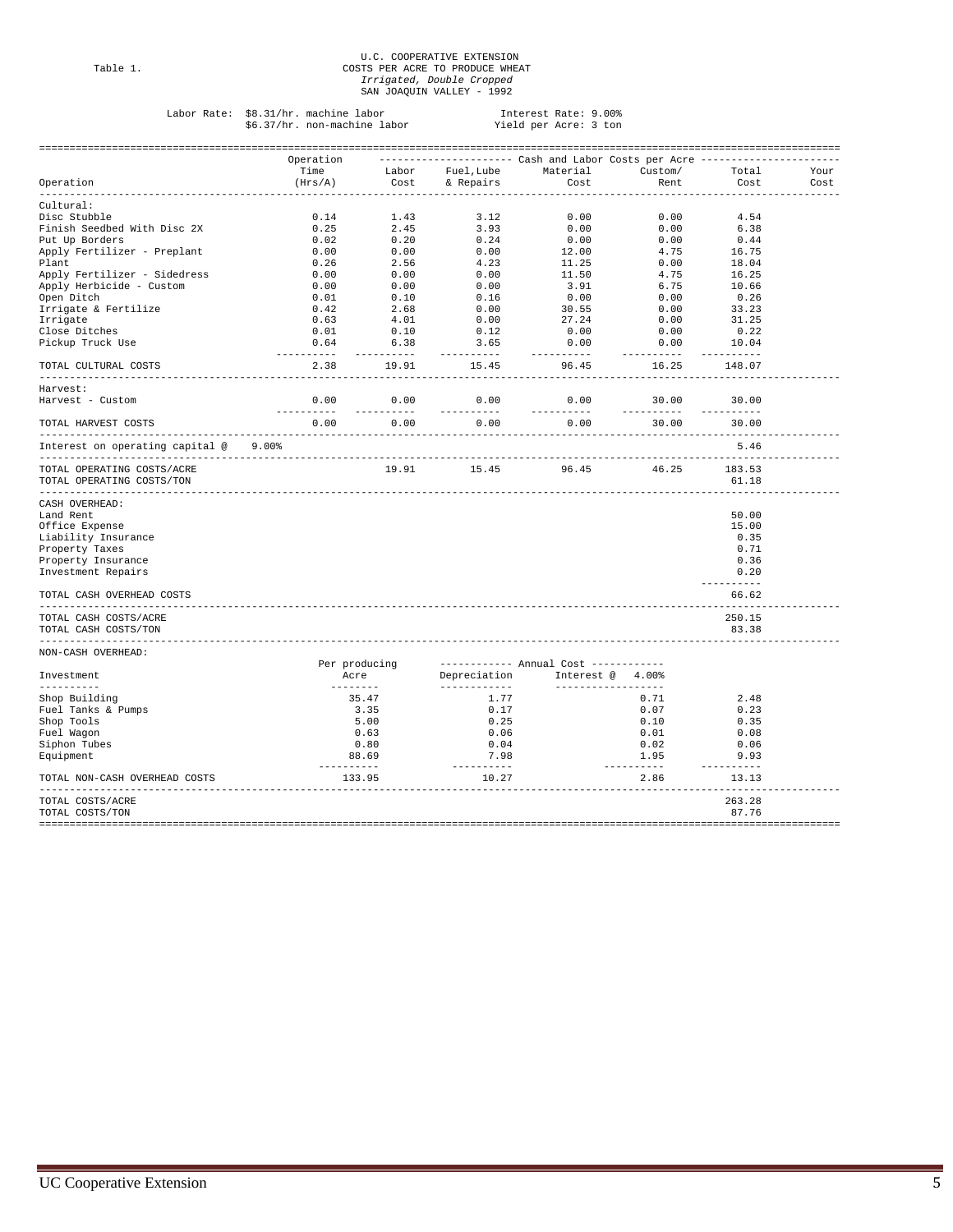# U.C. COOPERATIVE EXTENSION<br>Table 1. COSTS PER ACRE TO PRODUCE WHEAT<br>*Irrigated, Double Cropped* SAN JOAQUIN VALLEY - 1992

| Labor Rate:                           | \$8.31/hr. machine labor     |                    |                                   | Interest Rate: 9.00%                                     |             |            |      |
|---------------------------------------|------------------------------|--------------------|-----------------------------------|----------------------------------------------------------|-------------|------------|------|
|                                       | \$6.37/hr. non-machine labor |                    |                                   | Yield per Acre: 3 ton                                    |             |            |      |
|                                       |                              |                    |                                   |                                                          |             |            |      |
|                                       |                              |                    |                                   |                                                          |             |            |      |
|                                       | Operation                    |                    |                                   | --------------------- Cash and Labor Costs per Acre ---- |             |            |      |
|                                       | Time                         |                    | Labor Fuel, Lube Material         |                                                          | Custom/     | Total      | Your |
| Operation                             | (Hrs/A)                      |                    | Cost & Repairs                    | Cost                                                     | Rent        | Cost       | Cost |
| ----------                            |                              |                    | --------------------------------- | ----------------                                         |             |            |      |
| Cultural:                             |                              |                    |                                   |                                                          |             |            |      |
| Disc Stubble                          | 0.14                         | 1.43               | 3.12                              | 0.00                                                     | 0.00        | 4.54       |      |
| Finish Seedbed With Disc 2X           | 0.25                         | 2.45               | 3.93                              | 0.00                                                     | 0.00        | 6.38       |      |
| Put Up Borders                        | 0.02                         | 0.20               | 0.24                              | 0.00                                                     | 0.00        | 0.44       |      |
| Apply Fertilizer - Preplant           | 0.00                         | 0.00               | 0.00                              | 12.00                                                    | 4.75        | 16.75      |      |
|                                       |                              |                    |                                   |                                                          |             |            |      |
| Plant                                 | 0.26                         | 2.56               | 4.23                              | 11.25                                                    | 0.00        | 18.04      |      |
| Apply Fertilizer - Sidedress          | 0.00                         | 0.00               | 0.00                              | 11.50                                                    | 4.75        | 16.25      |      |
| Apply Herbicide - Custom              | 0.00                         | 0.00               | 0.00                              | 3.91                                                     | 6.75        | 10.66      |      |
| Open Ditch                            | 0.01                         | 0.10               | 0.16                              | 0.00                                                     | 0.00        | 0.26       |      |
| Irrigate & Fertilize                  | 0.42                         | 2.68               | 0.00                              | 30.55                                                    | 0.00        | 33.23      |      |
| Irrigate                              | 0.63                         | 4.01               | 0.00                              | 27.24                                                    | 0.00        | 31.25      |      |
| Close Ditches                         | 0.01                         | 0.10               | 0.12                              | 0.00                                                     | 0.00        | 0.22       |      |
| Pickup Truck Use                      | 0.64                         | 6.38               | 3.65                              | 0.00                                                     | 0.00        | 10.04      |      |
|                                       |                              |                    | -----------                       | -----------                                              |             |            |      |
| TOTAL CULTURAL COSTS                  | 2.38                         | 19.91              | 15.45                             | 96.45                                                    | 16.25       | 148.07     |      |
|                                       |                              |                    |                                   |                                                          |             |            |      |
|                                       |                              |                    |                                   |                                                          |             |            |      |
| Harvest:                              |                              |                    |                                   |                                                          |             |            |      |
| Harvest - Custom                      | 0.00                         | 0.00               | 0.00                              | 0.00                                                     | 30.00       | 30.00      |      |
|                                       |                              |                    |                                   | -----------                                              |             |            |      |
| TOTAL HARVEST COSTS                   | 0.00                         | 0.00               | 0.00                              | 0.00                                                     | 30.00       | 30.00      |      |
|                                       |                              |                    |                                   |                                                          |             |            |      |
| Interest on operating capital @ 9.00% |                              |                    |                                   |                                                          |             | 5.46       |      |
|                                       |                              |                    |                                   |                                                          |             |            |      |
| TOTAL OPERATING COSTS/ACRE            |                              |                    |                                   | 19.91 15.45 96.45                                        | 46.25       | 183.53     |      |
| TOTAL OPERATING COSTS/TON             |                              |                    |                                   |                                                          |             | 61.18      |      |
| _______________________               |                              |                    |                                   |                                                          |             |            |      |
| CASH OVERHEAD:                        |                              |                    |                                   |                                                          |             |            |      |
| Land Rent                             |                              |                    |                                   |                                                          |             | 50.00      |      |
|                                       |                              |                    |                                   |                                                          |             | 15.00      |      |
| Office Expense                        |                              |                    |                                   |                                                          |             |            |      |
| Liability Insurance                   |                              |                    |                                   |                                                          |             | 0.35       |      |
| Property Taxes                        |                              |                    |                                   |                                                          |             | 0.71       |      |
| Property Insurance                    |                              |                    |                                   |                                                          |             | 0.36       |      |
| Investment Repairs                    |                              |                    |                                   |                                                          |             | 0.20       |      |
|                                       |                              |                    |                                   |                                                          |             | ---------- |      |
| TOTAL CASH OVERHEAD COSTS             |                              |                    |                                   |                                                          |             | 66.62      |      |
|                                       |                              |                    |                                   |                                                          |             |            |      |
| TOTAL CASH COSTS/ACRE                 |                              |                    |                                   |                                                          |             | 250.15     |      |
| TOTAL CASH COSTS/TON                  |                              |                    |                                   |                                                          |             | 83.38      |      |
|                                       |                              |                    |                                   |                                                          |             |            |      |
| NON-CASH OVERHEAD:                    |                              |                    |                                   |                                                          |             |            |      |
|                                       |                              |                    |                                   |                                                          |             |            |      |
|                                       |                              | Per producing      |                                   | ----------- Annual Cost ------------                     |             |            |      |
| Investment                            |                              | Acre               | Depreciation                      | Interest $@$ 4.00%                                       |             |            |      |
| <u>La La La La La</u>                 |                              | <b>DESCRIPTION</b> | ____________                      | ____________________                                     |             |            |      |
| Shop Building                         |                              | 35.47              | 1.77                              |                                                          | 0.71        | 2.48       |      |
| Fuel Tanks & Pumps                    |                              | 3.35               | 0.17                              |                                                          | 0.07        | 0.23       |      |
| Shop Tools                            |                              | 5.00               | 0.25                              |                                                          | 0.10        | 0.35       |      |
| Fuel Wagon                            |                              | 0.63               | 0.06                              |                                                          | 0.01        | 0.08       |      |
| Siphon Tubes                          |                              | 0.80               | 0.04                              |                                                          | 0.02        | 0.06       |      |
| Equipment                             |                              | 88.69              | 7.98                              |                                                          | 1.95        | 9.93       |      |
|                                       |                              | ----------         | ----------                        |                                                          | ----------- | ---------- |      |
| TOTAL NON-CASH OVERHEAD COSTS         |                              | 133.95             | 10.27                             |                                                          | 2.86        | 13.13      |      |
|                                       |                              |                    |                                   |                                                          |             |            |      |
|                                       |                              |                    |                                   |                                                          |             |            |      |

TOTAL COSTS/ACRE 263.28<br>
TOTAL COSTS/TON 263.28

TOTAL COSTS/TON 87.76 ====================================================================================================================================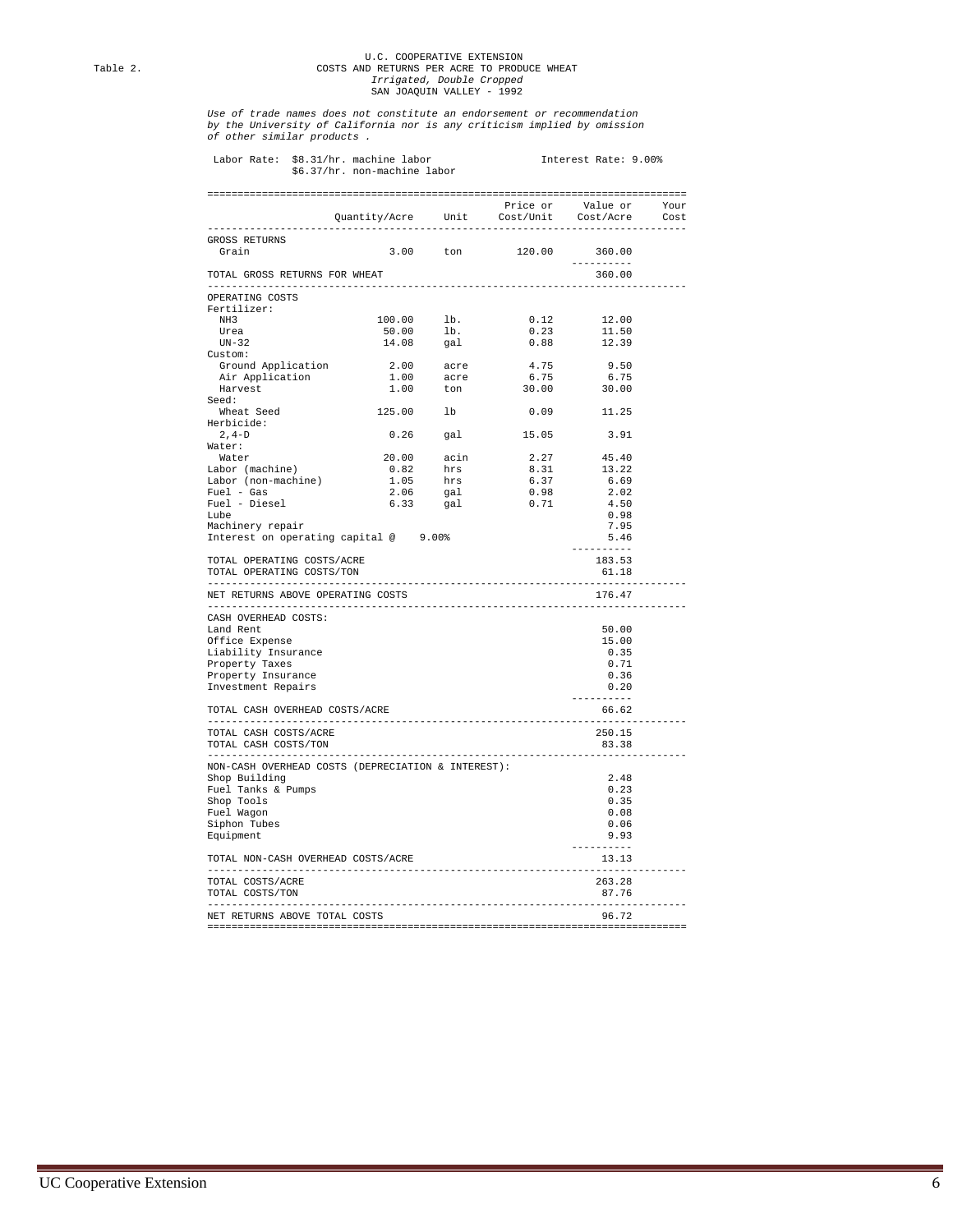# U.C. COOPERATIVE EXTENSION Table 2. COSTS AND RETURNS PER ACRE TO PRODUCE WHEAT  *Irrigated, Double Cropped* SAN JOAQUIN VALLEY - 1992

*Use of trade names does not constitute an endorsement or recommendation by the University of California nor is any criticism implied by omission of other similar products .*

| Labor Rate:                                             | \$8.31/hr. machine labor<br>\$6.37/hr. non-machine labor                        |                            |                        | Interest Rate: 9.00% |      |
|---------------------------------------------------------|---------------------------------------------------------------------------------|----------------------------|------------------------|----------------------|------|
|                                                         |                                                                                 |                            |                        |                      |      |
|                                                         |                                                                                 |                            |                        |                      | Your |
|                                                         | ----------------                                                                |                            |                        |                      | Cost |
| GROSS RETURNS                                           |                                                                                 |                            |                        |                      |      |
| Grain                                                   |                                                                                 | 3.00 ton                   | 120.00                 | 360.00               |      |
|                                                         |                                                                                 |                            |                        | ----------           |      |
| TOTAL GROSS RETURNS FOR WHEAT                           |                                                                                 |                            |                        | 360.00               |      |
| OPERATING COSTS                                         |                                                                                 |                            |                        |                      |      |
| Fertilizer:                                             |                                                                                 |                            |                        |                      |      |
| NH <sub>3</sub>                                         | $\begin{tabular}{cc} 100.00 & lb. \\ 50.00 & lb. \\ 14.08 & gal. \end{tabular}$ |                            | 0.12<br>0.23           | 12.00<br>11.50       |      |
| Urea<br>$UN-32$                                         |                                                                                 |                            | 0.88                   | 12.39                |      |
| Custom:                                                 |                                                                                 |                            |                        |                      |      |
| Ground Application                                      |                                                                                 |                            | 4.75                   | 9.50                 |      |
| Air Application                                         |                                                                                 | $2.00$ acre<br>$1.00$ acre | 6.75                   | 6.75                 |      |
| Harvest                                                 | 1.00                                                                            | ton                        | 30.00                  | 30.00                |      |
| Seed:                                                   |                                                                                 |                            |                        |                      |      |
| Wheat Seed                                              | 125.00                                                                          | lb                         | 0.09                   | 11.25                |      |
| Herbicide:                                              |                                                                                 |                            |                        |                      |      |
| $2, 4-D$                                                | $0.26$ gal                                                                      |                            | 15.05                  | 3.91                 |      |
| Water:                                                  |                                                                                 |                            |                        |                      |      |
| Water                                                   | 20.00 acin<br>0.82 hrs<br>1.05 hrs<br>2.06 gal                                  |                            | 2.27                   | 45.40                |      |
| Labor (machine)                                         |                                                                                 |                            | 8.31<br>6.37           | 13.22<br>6.69        |      |
| Labor (non-machine)<br>Fuel - Gas                       |                                                                                 |                            | 0.98                   | 2.02                 |      |
| Fuel - Diesel                                           | 6.33                                                                            | gal                        | 0.71                   | 4.50                 |      |
| Lube                                                    |                                                                                 |                            |                        | 0.98                 |      |
| Machinery repair                                        |                                                                                 |                            |                        | 7.95                 |      |
| Interest on operating capital @ 9.00%                   |                                                                                 |                            |                        | 5.46                 |      |
|                                                         |                                                                                 |                            |                        | ----------           |      |
| TOTAL OPERATING COSTS/ACRE<br>TOTAL OPERATING COSTS/TON |                                                                                 |                            | ---------------------- | 183.53<br>61.18      |      |
| NET RETURNS ABOVE OPERATING COSTS                       |                                                                                 |                            |                        | 176.47               |      |
| CASH OVERHEAD COSTS:                                    |                                                                                 |                            |                        |                      |      |
| Land Rent                                               |                                                                                 |                            |                        | 50.00                |      |
| Office Expense                                          |                                                                                 |                            |                        | 15.00                |      |
| Liability Insurance                                     |                                                                                 |                            |                        | 0.35                 |      |
| Property Taxes                                          |                                                                                 |                            |                        | 0.71                 |      |
| Property Insurance                                      |                                                                                 |                            |                        | 0.36                 |      |
| Investment Repairs                                      |                                                                                 |                            |                        | 0.20<br>.            |      |
| TOTAL CASH OVERHEAD COSTS/ACRE                          |                                                                                 |                            |                        | 66.62                |      |
| TOTAL CASH COSTS/ACRE                                   |                                                                                 |                            |                        | 250.15               |      |
| TOTAL CASH COSTS/TON                                    |                                                                                 |                            |                        | 83.38                |      |
| NON-CASH OVERHEAD COSTS (DEPRECIATION & INTEREST):      |                                                                                 |                            |                        |                      |      |
| Shop Building                                           |                                                                                 |                            |                        | 2.48                 |      |
| Fuel Tanks & Pumps                                      |                                                                                 |                            |                        | 0.23                 |      |
| Shop Tools                                              |                                                                                 |                            |                        | 0.35                 |      |
| Fuel Wagon                                              |                                                                                 |                            |                        | 0.08                 |      |
| Siphon Tubes                                            |                                                                                 |                            |                        | 0.06                 |      |
| Equipment                                               |                                                                                 |                            |                        | 9.93<br>---------    |      |
| TOTAL NON-CASH OVERHEAD COSTS/ACRE                      |                                                                                 |                            |                        | 13.13                |      |
| TOTAL COSTS/ACRE                                        |                                                                                 |                            |                        | 263.28               |      |
| TOTAL COSTS/TON                                         |                                                                                 |                            |                        | 87.76                |      |
| NET RETURNS ABOVE TOTAL COSTS                           |                                                                                 |                            |                        | 96.72                |      |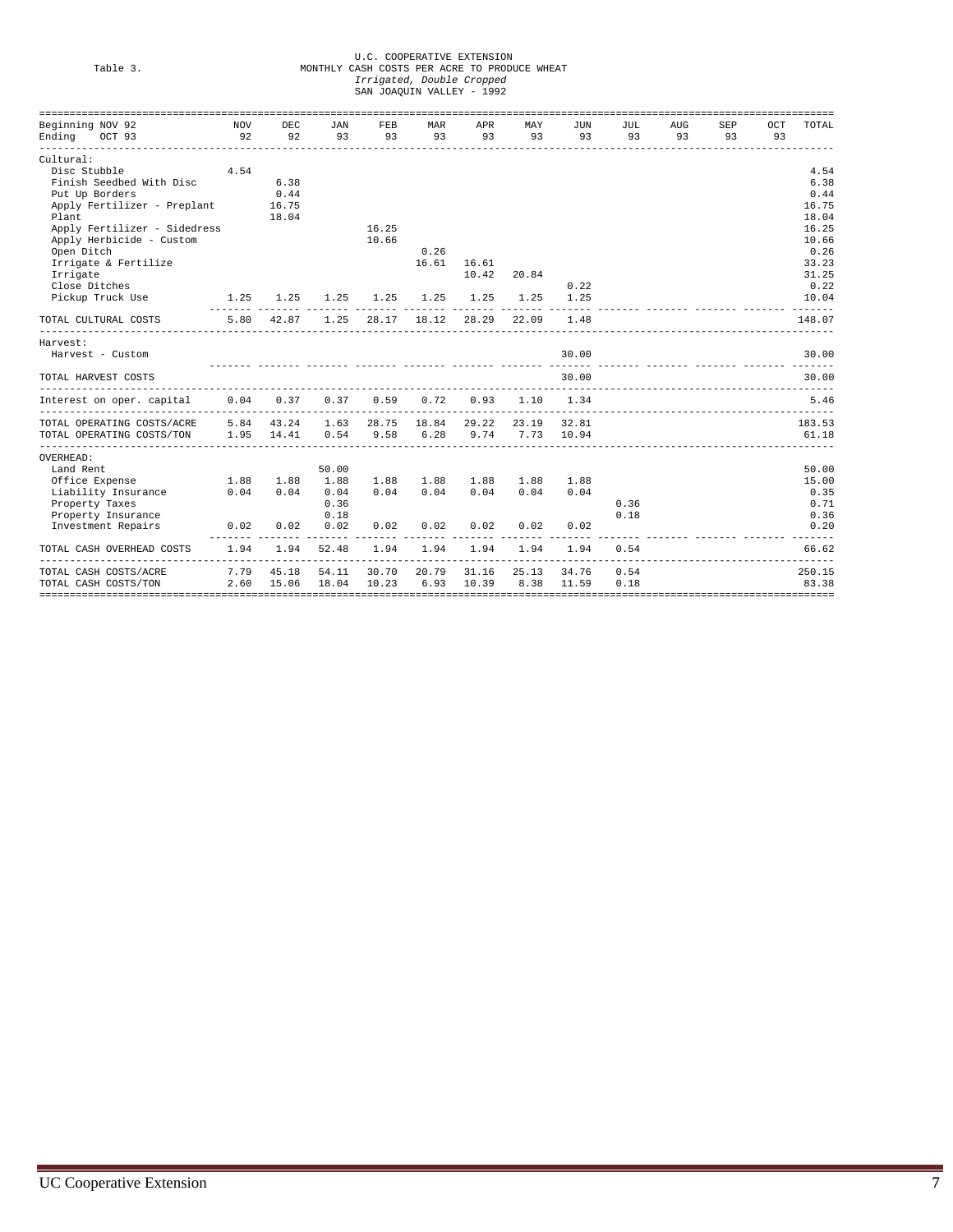# U.C. COOPERATIVE EXTENSION Table 3. MONTHLY CASH COSTS PER ACRE TO PRODUCE WHEAT  *Irrigated, Double Cropped* SAN JOAQUIN VALLEY - 1992

| Beginning NOV 92                                       | NOV  | DEC        | JAN   | <b>FEB</b>  | <b>MAR</b> | APR   | MAY               | JUN           | JUL. | <b>AUG</b> | SEP | OCT | TOTAL  |
|--------------------------------------------------------|------|------------|-------|-------------|------------|-------|-------------------|---------------|------|------------|-----|-----|--------|
| Ending OCT 93                                          |      | 92 92      | 93    | 93          | 93         | 93    | 93                | 93            | 93   | 93         | 93  | 93  |        |
| Cultural:                                              |      |            |       |             |            |       |                   |               |      |            |     |     |        |
| Disc Stubble                                           | 4.54 |            |       |             |            |       |                   |               |      |            |     |     | 4.54   |
| Finish Seedbed With Disc                               |      | 6.38       |       |             |            |       |                   |               |      |            |     |     | 6.38   |
| Put Up Borders                                         |      | 0.44       |       |             |            |       |                   |               |      |            |     |     | 0.44   |
| Apply Fertilizer - Preplant 16.75                      |      |            |       |             |            |       |                   |               |      |            |     |     | 16.75  |
| Plant                                                  |      | 18.04      |       |             |            |       |                   |               |      |            |     |     | 18.04  |
| Apply Fertilizer - Sidedress                           |      |            |       | 16.25       |            |       |                   |               |      |            |     |     | 16.25  |
| Apply Herbicide - Custom                               |      |            |       | 10.66       |            |       |                   |               |      |            |     |     | 10.66  |
| Open Ditch                                             |      |            |       |             | 0.26       |       |                   |               |      |            |     |     | 0.26   |
| Irrigate & Fertilize                                   |      |            |       |             | 16.61      | 16.61 |                   |               |      |            |     |     | 33.23  |
| Irrigate                                               |      |            |       |             |            | 10.42 | 20.84             |               |      |            |     |     | 31.25  |
| Close Ditches                                          |      |            |       |             |            |       |                   | 0.22          |      |            |     |     | 0.22   |
| Pickup Truck Use 1.25                                  |      | 1.25       | 1.25  | 1.25        | 1.25       | 1.25  | 1.25              | 1.25          |      |            |     |     | 10.04  |
| TOTAL CULTURAL COSTS                                   |      | 5.80 42.87 | 1.25  | 28.17 18.12 |            | 28.29 | 22.09             | 1.48          |      |            |     |     | 148.07 |
| Harvest:                                               |      |            |       |             |            |       |                   |               |      |            |     |     |        |
| Harvest - Custom                                       |      |            |       |             |            |       |                   | 30.00         |      |            |     |     | 30.00  |
| TOTAL HARVEST COSTS                                    |      |            |       |             |            |       |                   | 30.00         |      |            |     |     | 30.00  |
| Interest on oper. capital 0.04 0.37                    |      |            | 0.37  | 0.59        | 0.72       | 0.93  |                   | $1.10 \t1.34$ |      |            |     |     | 5.46   |
| TOTAL OPERATING COSTS/ACRE 5.84 43.24 1.63 28.75 18.84 |      |            |       |             |            |       | 29.22 23.19 32.81 |               |      |            |     |     | 183.53 |
| TOTAL OPERATING COSTS/TON 1.95 14.41 0.54              |      |            |       | 9.58        | 6.28       |       | 9.74 7.73 10.94   |               |      |            |     |     | 61.18  |
| OVERHEAD:                                              |      |            |       |             |            |       |                   |               |      |            |     |     |        |
| Land Rent                                              |      |            | 50.00 |             |            |       |                   |               |      |            |     |     | 50.00  |
| Office Expense<br>1.88                                 |      | 1.88       | 1.88  | 1.88        | 1.88       | 1.88  | 1.88              | 1.88          |      |            |     |     | 15.00  |
| Liability Insurance                                    | 0.04 | 0.04       | 0.04  | 0.04        | 0.04       | 0.04  | 0.04              | 0.04          |      |            |     |     | 0.35   |
| Property Taxes                                         |      |            | 0.36  |             |            |       |                   |               | 0.36 |            |     |     | 0.71   |
| Property Insurance                                     |      |            | 0.18  |             |            |       |                   |               | 0.18 |            |     |     | 0.36   |
| Investment Repairs                                     | 0.02 | 0.02       | 0.02  | 0.02        | 0.02       | 0.02  | 0.02              | 0.02          |      |            |     |     | 0.20   |
| TOTAL CASH OVERHEAD COSTS                              | 1.94 | 1.94       | 52.48 | 1.94        | 1.94       | 1.94  | 1.94              | 1.94          | 0.54 |            |     |     | 66.62  |
| TOTAL CASH COSTS/ACRE                                  | 7.79 | 45.18      | 54.11 | 30.70       | 20.79      | 31.16 | 25.13             | 34.76         | 0.54 |            |     |     | 250.15 |
| TOTAL CASH COSTS/TON 2.60 15.06                        |      |            | 18.04 | 10.23       | 6.93       | 10.39 |                   | 8.38 11.59    | 0.18 |            |     |     | 83.38  |
|                                                        |      |            |       |             |            |       |                   |               |      |            |     |     |        |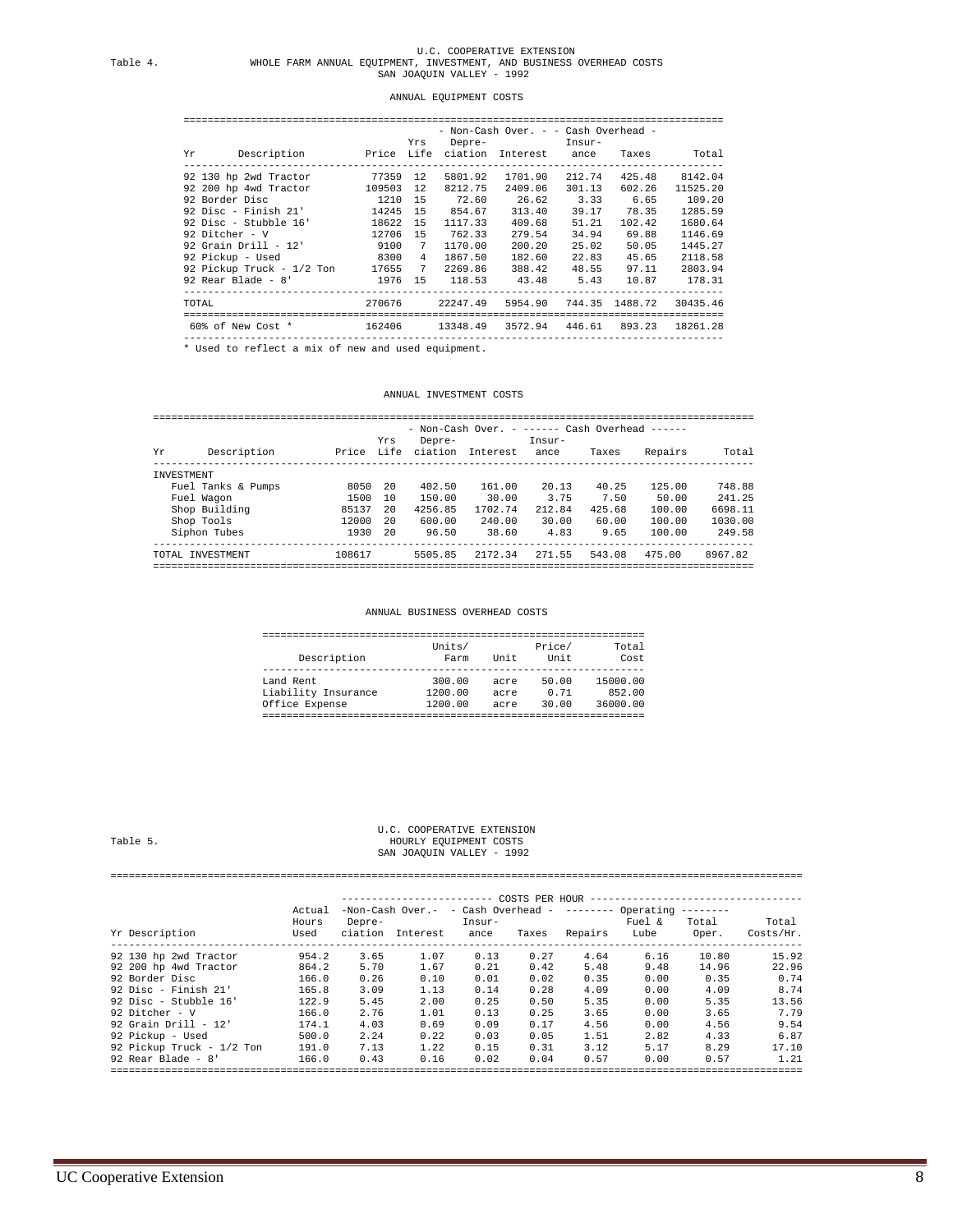### ANNUAL EQUIPMENT COSTS

| Description - Price Life ciation Interest ance Taxes<br>Yr |           | Yrs |          | - Non-Cash Over. - - Cash Overhead -<br>Depre- Insur- |        |           | Total                           |
|------------------------------------------------------------|-----------|-----|----------|-------------------------------------------------------|--------|-----------|---------------------------------|
|                                                            |           |     |          |                                                       |        |           |                                 |
| 92 130 hp 2wd Tractor 77359 12                             |           |     | 5801.92  | 1701.90                                               | 212.74 | 425.48    | 8142.04                         |
| 92 200 hp 4wd Tractor                                      | 109503 12 |     | 8212.75  | 2409.06                                               | 301.13 | 602.26    | 11525.20                        |
| 92 Border Disc 1210 15                                     |           |     |          | 72.60 26.62                                           |        | 3.33 6.65 | 109.20                          |
| 92 Disc - Finish 21' 14245 15                              |           |     | 854.67   | 313.40                                                | 39.17  | 78.35     | 1285.59                         |
| 92 Disc - Stubble 16' 18622 15                             |           |     | 1117.33  | 409.68                                                | 51.21  | 102.42    | 1680.64                         |
| 92 Ditcher - V                                             | 12706 15  |     | 762.33   | 279.54                                                | 34.94  | 69.88     | 1146.69                         |
| 92 Grain Drill - 12' 9100                                  |           | 7   | 1170.00  | 200.20                                                | 25.02  | 50.05     | 1445.27                         |
| 92 Pickup - Used 8300                                      |           | 4   | 1867.50  | 182.60                                                | 22.83  | 45.65     | 2118.58                         |
| 92 Pickup Truck - 1/2 Ton 17655 7 2269.86                  |           |     |          | 388.42                                                | 48.55  | 97.11     | 2803.94                         |
| 92 Rear Blade - 8' [1976 15 118.53 43.48 5.43 10.87 178.31 |           |     |          |                                                       |        |           |                                 |
| TOTAL                                                      | 270676    |     | 22247.49 |                                                       |        |           | 5954.90 744.35 1488.72 30435.46 |
| 60% of New Cost * 162406                                   |           |     | 13348.49 |                                                       |        |           | 3572.94 446.61 893.23 18261.28  |
|                                                            |           |     |          |                                                       |        |           |                                 |

----------------------------------------------------------------------------------------- \* Used to reflect a mix of new and used equipment.

### ANNUAL INVESTMENT COSTS

|                   |                    |        |             |                   | - Non-Cash Over. - ------ Cash Overhead ------ |                |        |         |         |
|-------------------|--------------------|--------|-------------|-------------------|------------------------------------------------|----------------|--------|---------|---------|
| Υr                | Description        | Price  | Yrs<br>Life | Depre-<br>ciation | <b>Tnterest</b>                                | Insur-<br>ance | Taxes  | Repairs | Total   |
| <b>TNVESTMENT</b> |                    |        |             |                   |                                                |                |        |         |         |
|                   | Fuel Tanks & Pumps | 8050   | -20         | 402.50            | 161.00                                         | 20.13          | 40.25  | 125.00  | 748.88  |
|                   | Fuel Wagon         | 1500   | 10          | 150.00            | 30.00                                          | 3.75           | 7.50   | 50.00   | 241.25  |
|                   | Shop Building      | 85137  | 20          | 4256.85           | 1702.74                                        | 212.84         | 425.68 | 100.00  | 6698.11 |
|                   | Shop Tools         | 12000  | 20          | 600.00            | 240.00                                         | 30.00          | 60.00  | 100.00  | 1030.00 |
|                   | Siphon Tubes       | 1930   | -20         | 96.50             | 38.60                                          | 4.83           | 9.65   | 100.00  | 249.58  |
|                   | TOTAL INVESTMENT   | 108617 |             | 5505.85           | 2172.34                                        | 271.55         | 543.08 | 475.00  | 8967.82 |

ANNUAL BUSINESS OVERHEAD COSTS

### ===============================================================

| Description         | Units/<br>Farm | Unit | Price/<br>Unit | Total<br>Cost |
|---------------------|----------------|------|----------------|---------------|
| Land Rent           | 300.00         | acre | 50.00          | 15000.00      |
| Liability Insurance | 1200.00        | acre | 0.71           | 852.00        |
| Office Expense      | 1200.00        | acre | 30.00          | 36000.00      |
|                     |                |      |                |               |

### U.C. COOPERATIVE EXTENSION Table 5. <br>HOURLY EQUIPMENT COSTS Table 5. HOURLY EQUIPMENT COSTS SAN JOAQUIN VALLEY - 1992

### ==================================================================================================================

|                           | Actual        |                   | $-Non-Cash Over. - cash Over. - 1 - 1 - 1$ | -----------    |       |         |                | COSTS PER HOUR -------------------------------- |                    |
|---------------------------|---------------|-------------------|--------------------------------------------|----------------|-------|---------|----------------|-------------------------------------------------|--------------------|
| Yr Description            | Hours<br>Used | Depre-<br>ciation | Interest                                   | Insur-<br>ance | Taxes | Repairs | Fuel &<br>Lube | Total<br>Oper.                                  | Total<br>Costs/Hr. |
| 92 130 hp 2wd Tractor     | 954.2         | 3.65              | 1.07                                       | 0.13           | 0.27  | 4.64    | 6.16           | 10.80                                           | 15.92              |
| 92 200 hp 4wd Tractor     | 864.2         | 5.70              | 1.67                                       | 0.21           | 0.42  | 5.48    | 9.48           | 14.96                                           | 22.96              |
| 92 Border Disc            | 166.0         | 0.26              | 0.10                                       | 0.01           | 0.02  | 0.35    | 0.00           | 0.35                                            |                    |
| 92 Disc - Finish $21'$    | 165.8         | 3.09              | 1.13                                       | 0.14           | 0.28  | 4.09    | 0.00           | 4.09                                            |                    |
| 92 Disc - Stubble 16'     | 122.9         | 5.45              | 2.00                                       | 0.25           | 0.50  | 5.35    | 0.00           | 5.35                                            | 13.56              |
| 92 Ditcher - V            | 166.0         | 2.76              | 1.01                                       | 0.13           | 0.25  | 3.65    | 0.00           | 3.65                                            |                    |
| 92 Grain Drill - $12'$    | 174.1         | 4.03              | 0.69                                       | 0.09           | 0.17  | 4.56    | 0.00           | 4.56                                            |                    |
| 92 Pickup - Used          | 500.0         | 2.24              | 0.22                                       | 0.03           | 0.05  | 1.51    | 2.82           | 4.33                                            |                    |
| 92 Pickup Truck - 1/2 Ton | 191.0         | 7.13              | 1.22                                       | 0.15           | 0.31  | 3.12    | 5.17           | 8.29                                            | 17.10              |
| 92 Rear Blade - $8'$      | 166.0         | 0.43              | 0.16                                       | 0.02           | 0.04  | 0.57    | 0.00           | 0.57                                            |                    |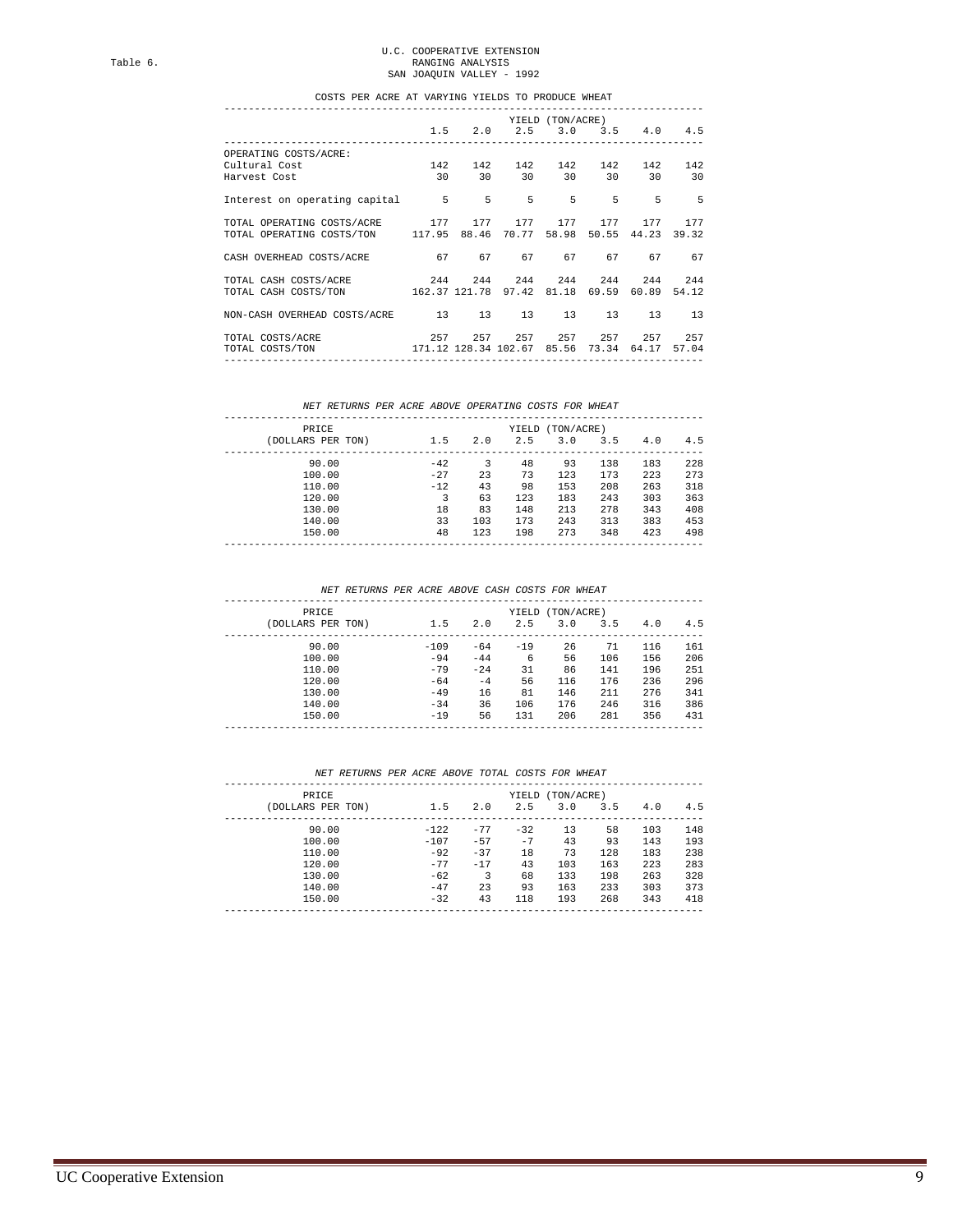# U.C. COOPERATIVE EXTENSION<br>Table 6. RANGING ANALYSIS<br>SAN JOAQUIN VALLEY - 1992

#### COSTS PER ACRE AT VARYING YIELDS TO PRODUCE WHEAT -------------------------------------------------------------------------------

|                                                                  |                         |                                                                    | YIELD (TON/ACRE) |                         |       |
|------------------------------------------------------------------|-------------------------|--------------------------------------------------------------------|------------------|-------------------------|-------|
|                                                                  |                         | 1.5 2.0 2.5 3.0 3.5 4.0 4.5<br>----------------------------------- |                  |                         |       |
| OPERATING COSTS/ACRE:                                            |                         |                                                                    |                  |                         |       |
| $142$ 142 142 142 142 142 142<br>Cultural Cost                   |                         |                                                                    |                  |                         |       |
| Harvest Cost                                                     | 30 30 30 30 30 30 30 30 |                                                                    |                  |                         |       |
| Interest on operating capital 5 5 5 5 5 5 5 5 5 5                |                         |                                                                    |                  |                         |       |
| TOTAL OPERATING COSTS/ACRE 177 177 177 177 177 177 177           |                         |                                                                    |                  |                         |       |
| TOTAL OPERATING COSTS/TON 117.95 88.46 70.77                     |                         |                                                                    |                  | 58.98 50.55 44.23 39.32 |       |
| CASH OVERHEAD COSTS/ACRE 67 67 67 67 67 67 67                    |                         |                                                                    |                  |                         |       |
| TOTAL CASH COSTS/ACRE  244  244  244  244  244  244  244         |                         |                                                                    |                  |                         |       |
| TOTAL CASH COSTS/TON 162.37 121.78 97.42 81.18 69.59 60.89 54.12 |                         |                                                                    |                  |                         |       |
| NON-CASH OVERHEAD COSTS/ACRE 13 13 13 13 13 13 13                |                         |                                                                    |                  |                         |       |
| TOTAL COSTS/ACRE                                                 |                         | 257 257 257 257 257 257 257                                        |                  |                         |       |
| TOTAL COSTS/TON 171.12 128.34 102.67 85.56 73.34 64.17           |                         |                                                                    |                  |                         | 57.04 |
|                                                                  |                         |                                                                    |                  |                         |       |

### *NET RETURNS PER ACRE ABOVE OPERATING COSTS FOR WHEAT*

|       |              | YIELD | (TON/ACRE) |     |     |     |
|-------|--------------|-------|------------|-----|-----|-----|
|       | 2.0          | 2.5   | 3.0        | 3.5 | 4.0 | 4.5 |
| $-42$ | 3            | 48    | 93         | 138 | 183 | 228 |
|       | 23           | 73    | 123        | 173 | 223 | 273 |
| $-12$ | 43           | 98    | 153        | 208 | 263 | 318 |
| 3     | 63           | 123   | 183        | 243 | 303 | 363 |
| 18    | 83           | 148   | 213        | 278 | 343 | 408 |
| 33    | 103          | 173   | 243        | 313 | 383 | 453 |
| 48    | 123          | 198   | 273        | 348 | 423 | 498 |
|       | 1.5<br>$-27$ |       |            |     |     |     |

 *NET RETURNS PER ACRE ABOVE CASH COSTS FOR WHEAT*

| PRICE             |        |        | YIELD | (TON/ACRE) |     |     |     |
|-------------------|--------|--------|-------|------------|-----|-----|-----|
| (DOLLARS PER TON) | 1.5    | 2.0    | 2.5   | 3.0        | 3.5 | 4.0 | 4.5 |
| 90.00             | $-109$ | $-64$  | $-19$ | 26         | 71  | 116 | 161 |
| 100.00            | $-94$  | $-44$  | 6     | 56         | 106 | 156 | 206 |
| 110.00            | $-79$  | $-2.4$ | 31    | 86         | 141 | 196 | 251 |
| 120.00            | $-64$  | $-4$   | 56    | 116        | 176 | 236 | 296 |
| 130.00            | $-49$  | 16     | 81    | 146        | 211 | 276 | 341 |
| 140.00            | $-34$  | 36     | 106   | 176        | 246 | 316 | 386 |
| 150.00            | $-19$  | 56     | 131   | 206        | 281 | 356 | 431 |
|                   |        |        |       |            |     |     |     |

### *NET RETURNS PER ACRE ABOVE TOTAL COSTS FOR WHEAT*

| PRICE             |        |       | YIELD | (TON/ACRE) |     |     |     |
|-------------------|--------|-------|-------|------------|-----|-----|-----|
| (DOLLARS PER TON) | 1.5    | 2.0   | 2.5   | 3.0        | 3.5 | 4.0 | 4.5 |
| 90.00             | $-122$ | $-77$ | $-32$ | 13         | 58  | 103 | 148 |
| 100.00            | $-107$ | $-57$ | $-7$  | 43         | 93  | 143 | 193 |
| 110.00            | $-92$  | $-37$ | 18    | 73         | 128 | 183 | 238 |
| 120.00            | $-77$  | $-17$ | 43    | 103        | 163 | 223 | 283 |
| 130.00            | $-62$  | 3     | 68    | 133        | 198 | 263 | 328 |
| 140.00            | $-47$  | 23    | 93    | 163        | 233 | 303 | 373 |
| 150.00            | $-32$  | 43    | 118   | 193        | 268 | 343 | 418 |
|                   |        |       |       |            |     |     |     |